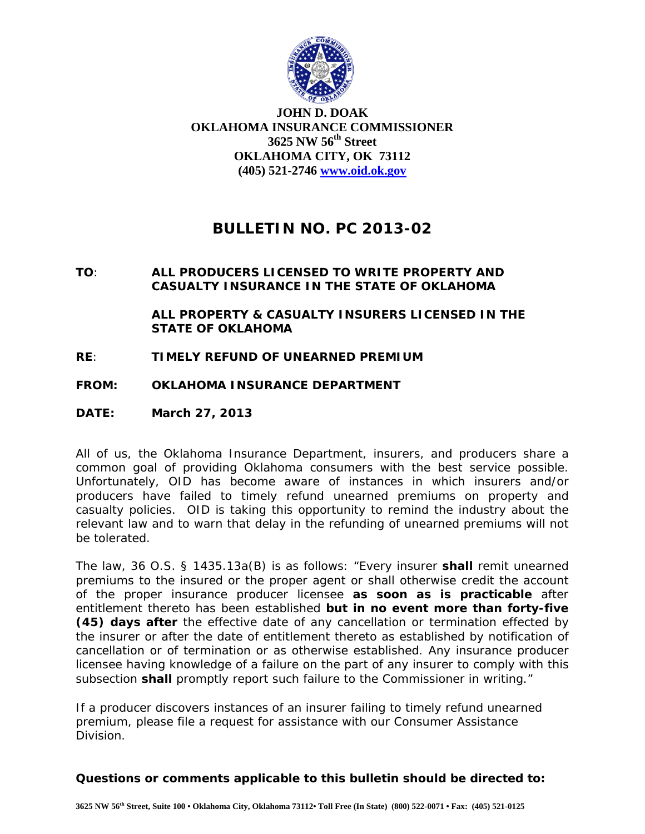

**JOHN D. DOAK OKLAHOMA INSURANCE COMMISSIONER 3625 NW 56th Street OKLAHOMA CITY, OK 73112 (405) 521-2746 www.oid.ok.gov**

## **BULLETIN NO. PC 2013-02**

## **TO**: **ALL PRODUCERS LICENSED TO WRITE PROPERTY AND CASUALTY INSURANCE IN THE STATE OF OKLAHOMA**

 **ALL PROPERTY & CASUALTY INSURERS LICENSED IN THE STATE OF OKLAHOMA**

- **RE**: **TIMELY REFUND OF UNEARNED PREMIUM**
- **FROM: OKLAHOMA INSURANCE DEPARTMENT**
- **DATE: March 27, 2013**

All of us, the Oklahoma Insurance Department, insurers, and producers share a common goal of providing Oklahoma consumers with the best service possible. Unfortunately, OID has become aware of instances in which insurers and/or producers have failed to timely refund unearned premiums on property and casualty policies. OID is taking this opportunity to remind the industry about the relevant law and to warn that delay in the refunding of unearned premiums will not be tolerated.

The law, 36 O.S. § 1435.13a(B) is as follows: "Every insurer **shall** remit unearned premiums to the insured or the proper agent or shall otherwise credit the account of the proper insurance producer licensee **as soon as is practicable** after entitlement thereto has been established **but in no event more than forty-five (45) days after** the effective date of any cancellation or termination effected by the insurer or after the date of entitlement thereto as established by notification of cancellation or of termination or as otherwise established. Any insurance producer licensee having knowledge of a failure on the part of any insurer to comply with this subsection **shall** promptly report such failure to the Commissioner in writing."

If a producer discovers instances of an insurer failing to timely refund unearned premium, please file a request for assistance with our Consumer Assistance Division.

## **Questions or comments applicable to this bulletin should be directed to:**